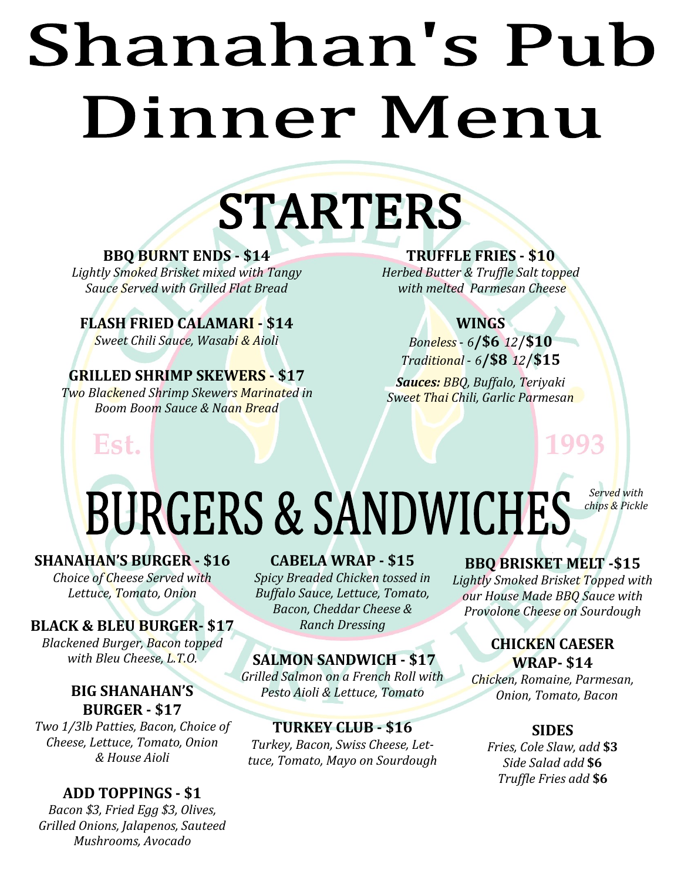# Shanahan's Pub Dinner Menu

## **STARTERS**

#### **BBQ BURNT ENDS - \$14**

*Lightly Smoked Brisket mixed with Tangy Sauce Served with Grilled Flat Bread*

**FLASH FRIED CALAMARI - \$14** *Sweet Chili Sauce, Wasabi & Aioli*

#### **GRILLED SHRIMP SKEWERS - \$17** *Two Blackened Shrimp Skewers Marinated in Boom Boom Sauce & Naan Bread*

#### **TRUFFLE FRIES - \$10**

*Herbed Butter & Truffle Salt topped with melted Parmesan Cheese*

#### **WINGS**

*Boneless* - *6***/\$6** *12*/**\$10** *Traditional* - *6***/\$8** *12*/**\$15**

*Sauces: BBQ, Buffalo, Teriyaki Sweet Thai Chili, Garlic Parmesan*

1993

#### *Served with*  **BURGERS & SANDWICHES** *chips & Pickle***5**

#### **SHANAHAN'S BURGER - \$16**

Est.

*Choice of Cheese Served with Lettuce, Tomato, Onion* 

#### **BLACK & BLEU BURGER- \$17**

*Blackened Burger, Bacon topped with Bleu Cheese, L.T.O.*

#### **BIG SHANAHAN'S BURGER - \$17**

*Two 1/3lb Patties, Bacon, Choice of Cheese, Lettuce, Tomato, Onion & House Aioli*

#### **ADD TOPPINGS - \$1**

*Bacon \$3, Fried Egg \$3, Olives, Grilled Onions, Jalapenos, Sauteed Mushrooms, Avocado*

#### **CABELA WRAP - \$15**

*Spicy Breaded Chicken tossed in Buffalo Sauce, Lettuce, Tomato, Bacon, Cheddar Cheese & Ranch Dressing*

#### **SALMON SANDWICH - \$17**

*Grilled Salmon on a French Roll with Pesto Aioli & Lettuce, Tomato*

#### **TURKEY CLUB - \$16**

*Turkey, Bacon, Swiss Cheese, Lettuce, Tomato, Mayo on Sourdough*

#### **BBQ BRISKET MELT -\$15**

*Lightly Smoked Brisket Topped with our House Made BBQ Sauce with Provolone Cheese on Sourdough*

#### **CHICKEN CAESER WRAP- \$14**

*Chicken, Romaine, Parmesan, Onion, Tomato, Bacon*

#### **SIDES**

*Fries, Cole Slaw, add* **\$3** *Side Salad add* **\$6** *Truffle Fries add* **\$6**